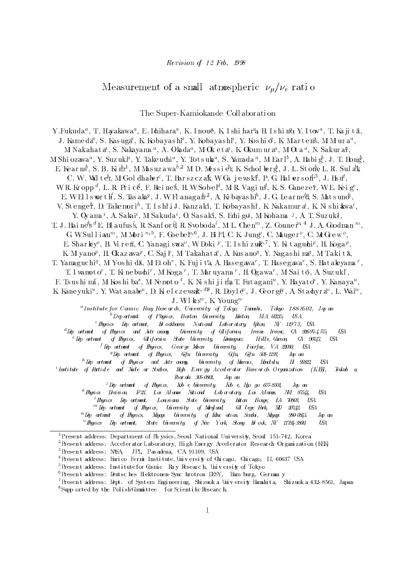# Measurement of a small atmospheric  $\nu_\mu/\nu_e$  ratio

The Super-Kamiokande Coll aborati on

Y. Fukuda", I. Haya kawa", E. Idinara", K. Inoue, K. Ishi hara H. Ishi Iro, Y. Itow", I. Ka ji ta, J. Kameda", S. Kasuga", K. Koba yas nr , Y. Koba yas nr , Y. Kos ni o , K. Martens, M. Mura", J. M. Nakahata , S. Nakayama ~ , A. Okaqa~ , M. Ok eta , K. Okum ura~ , M. Ota ~ , N. Sakurar , \_\_\_\_\_\_\_ M. Shi Ozawa", Y. Suzukia, Y. La ke uchi", Y. Lotsuka", S. Yamada", M. Earl", A. Habig, J. L. Hong, M. E. Kearns, S. B. Ki m̃r', M. Mas uz a waº, M. D. Messi ert, K. Schol berg, J. L. St one L. R. Sul akk U. W. Wal ten, M. Gol dhabe r, I. Barszczak, W. Ga jewski, P. G. Hal verson", J. Hs u, W. K. Kr  $opp^*$ , L. K. Price, P. Keines, H. W Sobel<sup>\*</sup>, M. K. Vagins, K. S. Ganezer, W. E. Keig<sup>\*</sup>, E. W. El IS WOTTH, S. LAS a Ka<sup>g</sup>, J. W. Flanagan', A. Ki bayas hi, J. G. Le ar ne d, S. Matsuno, V. St e nger, D. Takemor i", T. I s hij J. Kanz aki, T. Kobayas hi, K. Nakamur a', K. Ni s hi awa', r. Oyama ', A. Sakai', M. Sakuda', O. Sas aki, S. Echi go, M. Kohama ', A. I. Suzuki, T. J. Hai ne's " E. Bl aufus s, R. Sanf or d R. Svoboda', M. L. Chen''', Z. Conne r'' \* J. A. Goodman ''', `` G. W. Sull i  $am^{\infty}$ , M. Mor i  $\alpha$ , F. Goeber, J. Hill C. A. Jung, C. Mauger, C. McGrew, E. Sharkey, B. Viren, C. Yanagiswa", W. LOKI ", I. Ishiz uak", Y. Kitagu oli", H. Koga ", n. M. Yano<sup>p</sup> , H. Ukazawa<sup>p</sup> , U. Saji, M. Takanata, A. Nusano<sup>4</sup> , Y. Nagas ni maji M. Takita, . 1. Ya ma guc hi $^{\circ}$ , M. Yos hi da, M. Et oh', K. Fujita, A. Has egawa', I. Has egawa', S. Hat a ke ya ma', I. I WAHO LO', I. IN HE DUCHI', MINO GA', I. MAI'U VAHA', H. O GAWA', MISAILO, A. SUZUKI, F. IS US n1 M2, M. KOS n1 Da , M. Nemoto , K. N1 S n1 11 M2. I. Fut agam ", Y. Ha yat o ", Y. Kanaya", K. Kane yuki", Y. Wat anabe", D. Kiel cze wsak', "P, R. Doyl e", J. George", A. St adıyra", L. Wai",  $\ldots$ J. WIRS",  $K$ . Young a Institute for Cosmic Ray Rese ar ch, University of Tokyo, Tanashi, Tokyo 188-8502, Jap an  $b$  Department of Physics, Boston University, Boston, MA 02215, USA  $c$ Physics Dep artment, Br ockhaven National Lab or atory, Upton, NY 11973, USA  $d$  Dp artment of Physics and Astr onomy, University of California, Irvine Irvine, CA 92697-4575, USA  $e^e$  Dep artment of Physics, California State University, Deminguez Hills, Carson, CA 90747, USA  $f$  Dep artment of Physics, George Mson University, Fairfax, VA 22030, USA  $g^g$  Dep artment of Physics, Gfu University, Gifu, Gifu 501-1193, Jap an  $^h$  Dp artment of Physics and Astronomy, University of Hawaii, Honolulu, H 96822, USA  $^i$ Institute of Particle and Nucle ar Studies, Hop Ener gy Accelerator Research Organization (KEN), Tsukub a, Ibar aki 305-0801, Jap an  $\bar{J}$  Dep artment of Physics, Kob e University, Kob e, Hyo go 657-8501, Jap an  $^k$  Physics Druision, P.23, Los Alamos National Laboratory, Los Alamos, MM 87544, USA.  $^{l}$  Physics Dep artment, Louisiana State University, Buton Rouge, LA 70803, USA  $mD\hat{p}$  artment of Physics, University of Maryland, Cd lege Park, MD 20742, USA  $n$  Dep artment of Physics, Miyagi University of Educ ation, Sendai, Miyagi 980-0845, Jap an  $^{\circ}$ Physics Dep artment, State University of New York, Stony Br ook, NY 11794-3800, USA  $^1$ Present address: Department of Ph ysics, Seoul Nati onal University, Seoul 151-742, Korea <sup>2</sup> Present address: Accel erator Laboratory, High Energy Accel erator Research Organi zati on (KEX) <sup>3</sup>Present address: NSA, JPL, Pasadena, CA 91109, USA  $^{4}$ Present address: Enri co Fermi Institute, University of Chicago, Chicago, IL 60637 USA  $5$ Present address: Institutefor Cosmic Ray Research, University of Tokyo  $6$ Present address: Deutsches Elektronen-Sync hrotron DESY, Ham burg, German y 7Presen t address : Dept. of System Engi neer i ng, Shi zuoka Uni v ers i ty Hamaki ta, Shi zuoka 432- 8561, Japan

 ${}^{8}$ Supp orted by the Polish Committee for Scientific Research.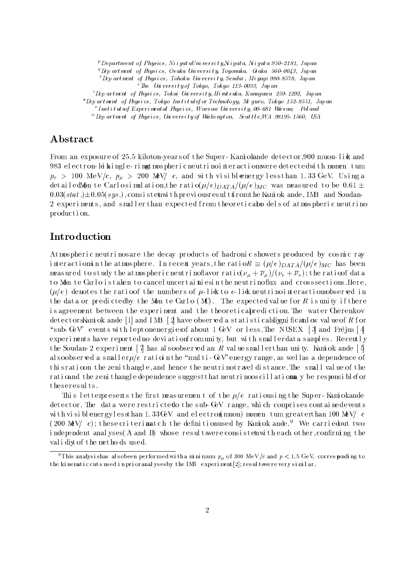$p$ P Department of Physics, Nii gat aUni vers it y,Ni gat a, Ni gat a 950-2181, Japan

 $q^q$ Dep artment of Physics, Osaka University, Toyonaka, Qsaka 560-0043, Japan

 $r$   $D$ ep artment of Physics, Tohoku University, Sendai, Miyagi 980-8578, Japan  $s$ The Univers it y of Tokyo, Tokyo 113-0033, Japan

 $t$   $L$ ep artment of Physics, Tokai University, Hinatsuka, Kanagawa 259-1292, Japan

 $u$ Dep artment of Hysics, Tokyo Institutef or Technology, Meguro, Tokyo 152-8551, Japan

. Instituteof Experimental Hnysics, Warsaw University, 00-681 Varsaw, Poland

 $w$  Dep art ment of Physics, University of Washington, Seattle, WA 98195-1560, USA

### Abstract

From an exposure of 25.5 kiloton-years of the Super-Kami okande detector 900 muon-like and 983 el ectron-le kingle-ring tmos pheric neutri noi nt eractions were detected with momen tum  $p_e > 100 \text{ MeV}/c$ ,  $p_\mu > 200 \text{ MeV}/c$ , and with visible energy less than 1.33 GeV. Using a detailedMon te Carlosimulation, the ratio( $\mu/e$ ) $_{DATA}/(\mu/e)_{MC}$  was measured to be 0.61  $\pm$  $0.03(stat.) \pm 0.05(sys.)$ , consi stent with previous resultsfrom the Kami ok ande, IMB and Soudan-2 experiments, and small er than expected from theoretical models of atmospheric neutrino production.

## **Introduction**

At mos pheri c neutri nos are the decay products of hadronic showers produced by cosmic ray i nteractions in the atmosphere. In recent years, the ration  $R = (\mu/e)_{DATA}/(\mu/e)_{MC}$  has been meas ured to study the atmospheric neutrino flavor ratio  $(\nu_\mu + \overline{\nu}_\mu)/(\nu_e + \overline{\nu}_e)$ ; the ratio of data to Mon te Carlo i staken to cancel uncertai ni esin the neutri noflux and crosssections. Here,  $(\mu/e)$  denotes the ratioof the numbers of  $\mu$ -like to e-like neutri noi nt eractions betwed in the data or predicted by the Mon te Carlo  $(MC)$ . The expected value for R is unity if there is agreement between the experiment and the theoreticabrediction. The water Cherenkov det ect or sKami ok ande [1] and IMB [2] have observed a statistical slignificantlow value of R f or "sub- GeV" events with lept onener gi esof about 1GeV or less. The NUSEX [3] and Fré jus [4] experiments have reported no deviation from unity, but with small erdata samples. Recently t he Soudan- 2 experiment  $\lceil \vec{7} \rceil$  has also observed an R values maller than unity. Kami ok ande  $\lceil 5 \rceil$ al soobserved a small er $\mu/e$  ration the "mul ti - GeV" energy range, as well as a dependence of thi s r at i oon the zeni thangle, and hence the neutri not r avel distance. The small value of the rati cand the zeni thangle dependence sugges t that neutri noos cill ations y be responsible for t heseresul ts.

This letterpresents the first measurement of the  $\mu/e$  ratiousing the Super-Kami okande det ector. The data were restricted the sub- GeV range, which comprises contained events with visible nergy less than 1.33 GeV and electron (muon) momen tum greater than 100 MeV/  $c$ (200 MeV/ c); these criterimatch the definitions ed by Kami ok ande.<sup>9</sup> We carried out two i ndependent anal yses (A and B) whose result swere consistent with each other, confirming the val i diy of the methods used.

 $^\circ$  1 his analysi shas al sobeen performed wi th a mi ni mum  $\,p_{\mu}$  of 300 MeV/c and  $\,p\,<\,1.5\,$  GeV, correspondi ng to the ki nematic cuts used in prioranal yses by the IMB experiment [2]; result swere very similar.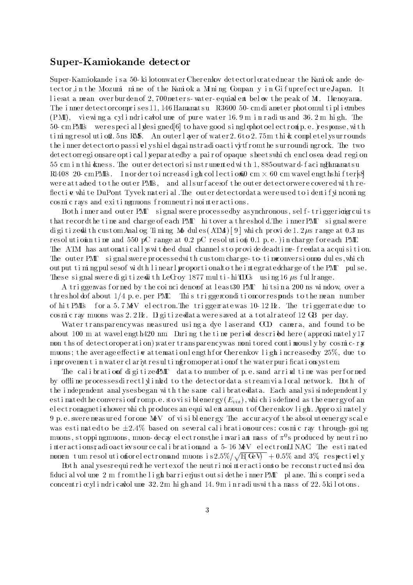### Super-Kamiokande detect or

Super-Kamiokande is a 50- ki lotonwater Cherenkov detect orl  $\alpha$  at ednear the Kami ok ande detector in the Mozumi mine of the Kamiok a Mining Company in Gifuprefecture Japan. It liesat a mean over burden of  $2,700$  meters-water-equinalent below the peak of Mt. I kenoyama. The innerdetect or comprises 11, 146 Hamamats u R3600 50- cm diameter photomul tiplienubes (PMT), viewing a cylindricated une of pure water  $16.9 \text{ m}$  in radius and  $36.2 \text{ m}$  high. The 50- cmPMTs were speciall  $\frac{d}{ds}$  igned[6] to have good single photoelectron(p.e.) response, with timing resolution. 5ns RMS. An outer layer of water 2.6 to 2.75 m this completel ys urrounds the innerdetect orto passively shield gainst radioactivit from the surrounding rock. The two det ect orr egi onsar e opti call yepar at edby a pai r of opaque sheet swhi ch enclosea dead r egi on 55 cm in thi ckness. The outer detect orisinstrumented with 1,885 outward-facing Lamamats u R1408 20- cmPMTs . I n or der to i nc r eas el i ght col l ec t i on60 cm , - 60 cm wavel engt hs hi f ters[ 8] were attached to the outer PMTs, and all surfaces of the outer detect orwere covered with reflective white DuPont Tyvek material. The outer detectordata were used to identifyincoming cosmic rays and exiting muons from neutrinointeractions.

Both i nner and outer PMT signal swere processedby as ynchronous, self-triggeriaig cuits that record the time and charge of each PMT hi tover a threshold. The innerPMT signal swere di gi t i zedi th cus t om Anal og Ti mi ng Mo dul es (ATMs)[9] whi ch pr ovi de 1.  $2 \mu s$  range at 0.3 ns r es ol ution ntime and 550 pC range at 0.2 pC r es ol ution 0.1 p.e. ) in charge for each PMT. The ATM has automatically witched dual channels to provide deadtime-freedata acquisition. The outer PMT signal swere processed with custom charge-to-time conversion modules, which out put timi ng pul s e sof wi dth l i near l ypr opor t i onalto theint egr at edchar ge of t he PMT pul se. These signal sweredigitized it h LeCroy 1877 multi-hi $TDS$  using 16  $\mu$ s ful lrange.

A triggenwas formed by the coincidence of at least 30 PMT hitsin a 200 ns window, over a threshol dof about  $1/4$  p. e. per PMT. This trigge rondi ti oncorresponds to the mean number of hit PMTs for a 5.7 MeV electron. The triggerate was  $10-12$  Hz. The trigger at edue to cosmic ray muons was  $2.2 \text{Hz}$ . Digitized at a were saved at a total rate of 12 GB per day.

Water transparency was measured using a dye laserand CCD camera, and found to be about 100 m at wavel engt h420 nm. During the time perid described here (approximately  $17$ mon ths of detect oroper ation) water transparency was monitored continuously by cosmic-ray muons; the average effective attenuation length for Cherenkov light increased by  $25\%$ , due to i mpr ovement in water clariver resulting romoperation of the water purifications ystem.

The cal i bration f digitize  $\mathbb{P}\mathbb{M}\Gamma$  data to number of p.e. sand arrixal time was performed by offline processes directly inked to the detector data streamvial  $\alpha$  al network. Both of the independent anal ys esbegan with the same calibrated at a. Each anal ysisindependently esti mat edt he conversi on fromp. e. stovi si blenergy  $(E_{vis})$ , whi ch i sdefined as the energy of an el ect romagneti shower whi ch produces an equi val ent amoun t of Cherenkov light. Appro xi mately 9 p. e. swere meas ured for one MeV of visible nergy. The accuracy of the absolute energy scale was estimated to be  $\pm 2.4\%$  based on several calibration ources: cosmic ray through-going muons , s t oppi ngmuons, muon- decay e l ec t r ons ,t heinvar i ant mas s of <sup>0</sup> s pr oduced by neutri no i nt eractions; adi oacties source cal i bration and a 5-16 MeV electronLINAC. The estimated momen tum resolution for electronsand muons is  $2.5\%/\sqrt{\mathrm{E(UV)}} + 0.5\%$  and  $3\%$  respectively.

Both anal ysesrequi redthe vert exof the neutri noi nteractions obe reconstructed nsi dea fiducial vol ume 2 m from the light barrierius toutside the inner PMT plane. This comprised a concentri  $\alpha$ ylindri cavlol ume 32. 2m hi gh and 14.9m i n r adi uswith a mass of 22. 5 kilotons.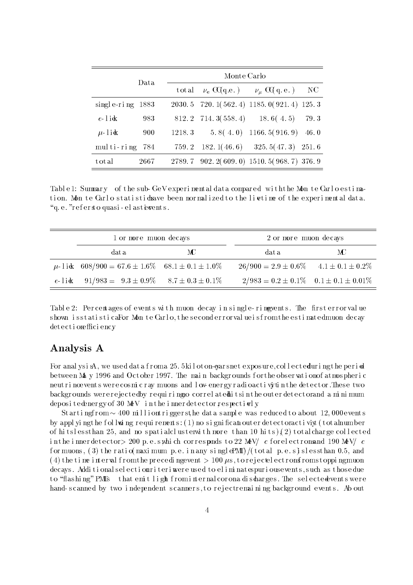|                    | Data | Monte Carlo |             |                                                        |      |
|--------------------|------|-------------|-------------|--------------------------------------------------------|------|
|                    |      | total       |             | $\nu_e \text{ C}(q.e.) \qquad \nu_\mu \text{ C}(q.e.)$ | NC.  |
| single-ring $1883$ |      |             |             | $2030.5$ 720. 1(562. 4) 1185. 0(921. 4) 125. 3         |      |
| $e$ -lick          | 983  |             |             | $812.2$ 714. $3(558.4)$ 18. $6(4.5)$                   | 79.3 |
| $\mu$ -lick        | 900  | 1218.3      |             | $5.8(4.0)$ 1166.5(916.9) 46.0                          |      |
| multi-ring         | -784 | 759.2       | 182.1(46.6) | $325.5(47.3)$ 251.6                                    |      |
| total              | 2667 |             |             | 2789.7 902.2(609.0) 1510.5(968.7) 376.9                |      |

Table 1: Summary of the sub-GeV experiment aldata compared with the Monte Carlo estimation. Mon te Carlo statistic charge been normalized to the livetime of the experimental data. " $q.e.$ "refersto quas i - el as t iewents.

| 1 or more muon decays                                  |    | 2 or more muon decays                            |     |  |
|--------------------------------------------------------|----|--------------------------------------------------|-----|--|
| dat a                                                  | МC | data.                                            | MC. |  |
| $\mu$ -1ik 608/900 = 67.6 ± 1.6\% 68.1 ± 0.1 ± 1.0\%   |    | $26/900 = 2.9 \pm 0.6\%$ $4.1 \pm 0.1 \pm 0.2\%$ |     |  |
| e-1ik $91/983 = 9.3 \pm 0.9\%$ $8.7 \pm 0.3 \pm 0.1\%$ |    | $2/983 = 0.2 \pm 0.1\%$ $0.1 \pm 0.1 \pm 0.01\%$ |     |  |

Table 2: Percentages of events with muon decay in single-ring yents. The first error value s hown is statisticaFor Monte Carlo, the second errorval ue is from the estimated muon decay det ectionefficiency

# Analysis A

For anal ysisA, we used dat a f roma 25.5kil ot on-gars net exposure, collecteduring the period between May 1996 and October 1997. The main backgrounds for the observation of atmospheric neutri noevents we recosmic ray muons and low- energy radioactivity in the detector. These two backgrounds were rejected by requiring o correl at edhitsin the outer detectorand a minimum deposited energy of 30 MeV in the innerdetector respectively

St arting from  $\sim 400$  milliontriggers the data sample was reduced to about 12,000 events by appl yi ngthe foll **w** ingrequing rements:  $(1)$  no significant outer detectoractivity (totalnumber of hitslesst han 25, and no spatial cluster with more than 10 hits) $(2)$  total charge collected in the innerdetector > 200 p.e.s, which corresponds to 22 MeV/ c for electrons and 190 MeV/ c f or muons,  $(3)$  the ratio (maximum p.e. in any single PMI) /(total p.e.s) sless than 0.5, and (4) the time interval from the preceding event  $> 100 \mu s$ , to rejected ectronsfrom stopping muon decays. Additional selection riteri were used to eliminate purious events, such as those due to "flashi ng" PMTs that emit light f rom internal corona di scharges. The selectedevents were hand-scanned by two independent scanners, to rejectremai ning background events. Ab out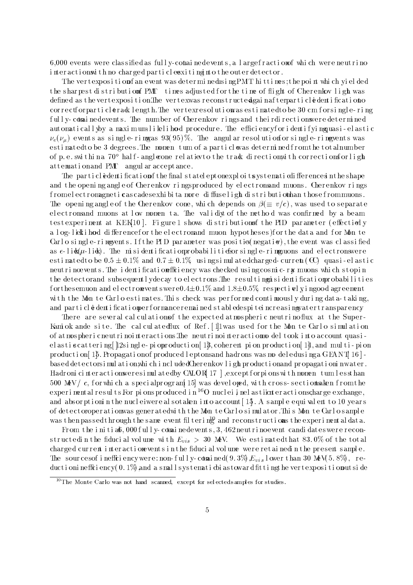6,000 events were classified as full y-contained events, a larger raction of which were neutrino interactions ith no charged particles xiting it other outer detector.

The vertexposition fan event was determinedusing PMT hittimes; the point which yielded the sharpest distribution of PMT times adjusted for the time of flight of Cherenkov light was defined as the vertexposition. The vertexwas reconstructed gainaf terparticle dentification of cor rectforparti clerad length. The vertexres ol uti owas estimated to be 30 cm for single-ring fully-contained events. The number of Cherenkov rings and theirdirections were determined aut omatical l yby a maximum-likelihood procedure. The efficiency for i dentifying uasi-elastic  $\nu_e(\nu_\mu)$  events as single-ring as  $93(95)\%$ . The angular resolution for single-ring vents was esti mat edto be 3 degrees. The momen tum of a particl was determined from the totalnumber of p. e. swithin a  $70^{\circ}$  hal f - angle one relation to the track direction with corrections or light at t emation and PMT angul ar acceptance.

The particled entification of the final state ept on exploits ystemation if ferences in the shape and the opening angle of Cherenkov ringsproduced by electronsand muons. Cherenkov rings f romel ect romagneticas cades exhibita more diffuselight distribution han those from muons. The opening angle of the Cherenkov cone, which depends on  $\beta(\equiv v/c)$ , was used to separate electronsand muons at low momen ta. The validiyt of the method was confirmed by a beam testexperiment at KEK[10]. Figure1 shows distributionsf the PID parameter (effectionly a l og-l ielk i hood di fference for the electromand muon hypotheses) for the data and for Mon te Carl o single-ring vents. If the PID parameter was position  $(\text{negative})$ , the event was classified as  $e\text{-}li\mathbf{k}(\mu\text{-}li\mathbf{k})$ . The misidentification probabilities for single-rimg uons and electrons were esti mat edt o be  $0.5 \pm 0.1\%$  and  $0.7 \pm 0.1\%$  usi ngsimul at edcharged-current (CC) quasi-el astic neutri noevents. The identification fficiency was checked using cosmic-ray muons which stopin the detect orand subsequently decay to electrons. The resulting is identification probabilities f ort hesemuon and electron wentswere  $0.4\pm0.1\%$  and  $1.8\pm0.5\%$  respectively ingood agreement with the Mon te Carlo estimates. This check was performed continuously during data-taking, and particle dentification performance remained stabledes piteincreasing water transparency

There are several calculations of the expected atmospheric neutrino flux at the Super-Kami ok ande site. The cal cul at edflux of Ref. [1] was used for the Mon te Carl o simulation of atmos pheri cneutri noi nt eracti ons The neutri noi nt eracti omo del took i nto account quasi el as tis cat t e r i ng [ 12s i ngl e - pi opr oduc ti on [ 13, coherent pi on pr oducti on [ 14, and multi-pi on product i on  $15$ . Propagati on f produced l ept onsand hadrons was model edusing a GEANT  $16$  bas ed det ect orsimulation, which included Cherenkov light production and propagationin water. Hadr oni cinteractions were simulated by CALOR[17], except f orpi ons with momen tum less than 500 MeV/ c, for which a special program [15] was developed, with cross-sections aken from the experiment al results. For pions produced in  $^{16}O$  nuclei inelasticate ractions charge exchange, and absorption in the nucleiwer eal sotaken into account [ $13$ . A sample equivalent to 10 years of detect oroper at i onwas generated with the Monte Carlosimulator. This Monte Carlosample was then passed through the same event filtering and reconstructions the experimental data.

From the initial  $\delta$ , 000 fully-contained events, 3, 462 neutrinoevent candidates were reconstructedin the fiducial volume with  $E_{vis} > 30$  MeV. We estimated that 83.0% of the total char ged current interactione vents in the fiducial volume were retained in the present sample. The sources of inefficiency were: non-fully-considered  $(9.3\%$ ,  $E_{vis}$  l ower than 30 MeV(5.8%), reductioni nefficiency $(0.1\%)$  and a small systematic biastoward fitting the vertexposition putside

 $10$ The Monte Carlo was not hand scanned, except for selected samples for studies.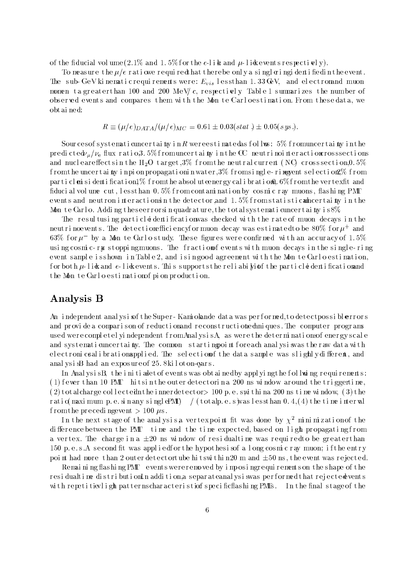of the fiducial volume  $(2.1\%$  and  $1.5\%$  for the e-like and  $\mu$ -like events respectively).

To measure the  $\mu/e$  ratiowe requiredthat therebe only a singleringidentifiedin the event. The sub-GeV ki nemati crequi rements were:  $E_{vis}$  lessthan 1.33 GeV, and electromand muon momen ta greater than 100 and 200 MeV/c, respectively Table 1 summarizes the number of observed events and compares them with the Mon te Carloestination. From these data, we obt ai ned:

$$
R \equiv (\mu/e)_{DATA}/(\mu/e)_{MC} = 0.61 \pm 0.03(stat.) \pm 0.05(sys.).
$$

Sour ces of systematic uncertainy in  $R$  were estimated as follows:  $5\%$  from uncertainty in the predi cte $\frac{dv_u}{v_e}$  flux ratio, 3.5% from uncertainty in the CC neutrinointeraction crosssections and nuclear effects in the H<sub>2</sub>O target,  $3\%$  from the neutral current (NC) crosssection, 0.5% f romt he uncert ai thy inpi on propagationi nwater,  $3\%$  fromsingle-ring yent selection  $2\%$  from particles is dentification  $1\%$  from the absolute energy calibration).  $6\%$  from the vertex fit and fiducial volume cut, les sthan  $0.5\%$  from contamination by cosmic ray muons, flashing PMT events and neutron interactions n the detector, and  $1.5\%$  from statistical ncertainty in the Mon te Carl o. Adding the seer rorsinguadrature, the totals ystematic uncertainty is  $8\%$ 

The resultusing particle dentification was checked with the rate of muon decays in the  ${\rm new}$  if the vents. The detection encytency or muon decay was estimated to be  $\delta {\rm U}$ % for  $\mu^+$  and  $63\%$  for  $\mu$  – by a Noon te Carlo study. Inese ngures were confirmed with an accuracy of 1.5% using cosmic-ray stopping muons. The fraction of events with muon decays in the single-ring event s ample is shown in Table 2, and is in good agreement with the Mon te Carlo estimation, f or bot h  $\mu$ -like and  $e$ -like events. This supports the reliabily of the particle dentification and the Monte Carlo estimation f pion production.

### Analysis B

An independent anal ysi sof the Super-Kami okande data was performed, to detect possible rrors and provide a comparison of reduction and reconstructioned in ques. The computer programs used were completel yindependent from AnalysisA, as were the determinations of energy scale and systemati cuncertainty. The common starting point for each analysi swas the raw data with e l ect roni csal i brationapplied. The selection of the data sample was slightly different, and anal ysi  $sB$  had an exposure of 25.8 kiloton-gars.

In Anal ysisB, the initial et of events was obtained by applying the foll wing requirements: (1) f ewer than 10 PMT hit sin the outer detect orina 200 ns window around the triggertime,  $(2)$  t ot alcharge collected in the innerdetector > 100 p.e.s within a 200 ns time window,  $(3)$  the r at i o(maxi mum p. e. si n any singlePMT)  $/$  (totalp. e. s) was less than 0.4, (4) the time interval f rom the precedi ngevent  $> 100 \mu s$ .

In the next stage of the analysis a vertex point fit was done by  $\chi^2$  minimization of the di fference between the PMT time and the time expected, based on light propagating from a vertex. The charge in a  $\pm 20$  ns window of residualtime was required to be greater than 150 p. e. s. A second fit was applied for the hypothesis of a long cosmic ray muon; if the entry point had more than 2 outerdetect ortube hi t swithin 20 m and  $\pm 50$  ns, the event was rejected.

Remaining flashing PMT eventswereremoved by imposing requirements on the shape of the resi dualtime di stri buti onIn addi ti on, a separateanal ysi swas performed that rejected vents with repetitievlight patterns characteristic f specific flashing PMTs. In the final stage of the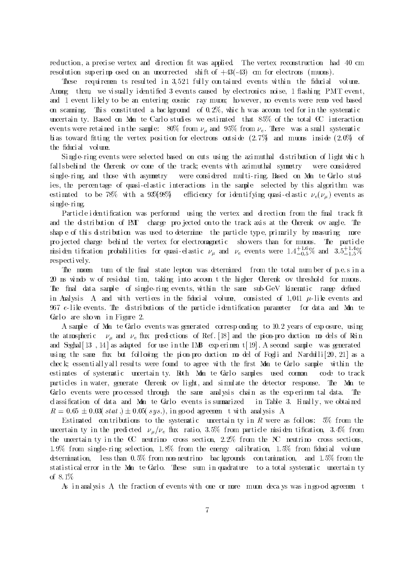reduction, a precise vertex and direction fit was applied. The vertex reconstruction had 40 cm resolution superimp osed on an uncorrected shift of  $+43(-43)$  cm for electrons (muons).

These requirements resulted in 3,521 fully contained events within the fiducial volume. Among them, we visually identified 3 events caused by electronics noise, 1 flashing PMT event and 1 event likely to be an entering cosmic ray muon; however, no events were removed based on scanning. This constituted a bac kground of  $0.2\%$ , which was accounted for in the systematic uncertain ty. Based on Mon te Carlo studies we estimated that  $85\%$  of the total CC interaction events were retained in the sample:  $80\%$  from  $\nu_{\mu}$  and  $95\%$  from  $\nu_{e}$ . There was a small systematic bi as toward fitting the vertex position for electrons outside  $(2.7\%$  and muons inside  $(2.0\%$  of the fiducial volume.

Si ngl e- ri ng events were sel ected based on cuts usi ng the azimuthal di stri buti on of light whic h falls behind the Cherenk ov cone of the track; events with azimuthal symmetry were considered single-ring, and those with asymmetry were considered multi-ring. Based on Mon te Carlo studies, the percentage of quasi-elastic interactions in the sample selected by this algorithm was estimated to be 78% with a 93%, 98% efficiency for identifying quasi-elastic  $\nu_e(\nu_\mu)$  events as si ngl e- ri ng.

Particle iden tification was performed using the vertex and direction from the final track fit and the distribution of PMT charge projected on to the track axis at the Cherenk ov angle. The shape of this distribution was used to determine the particle type, primarily by measuring more pro jected charge behind the vertex for electromagnetic showers than for muons. The particle misiden tincation probabilities for quasi-elastic  $\nu_\mu$  and  $\nu_e$  events were 1:4 $^{+}_{-0.5}\%$  and 3:5 $^{+}_{-1.5}\%$ respecti vel y.

The nomen tum of the final state lepton was determined from the total number of p.e.s in a 20 ns wi ndo wof resi dual time, taki ng into accoun t the hi gher Cherenk ov threshold for muons. The final data sample of single-ring events, within the same sub-GeV kinematic range defined in Analysis A, and with vertices in the fiducial volume, consisted of 1,041  $\mu$ -like events and 967  $e$ -like events. The distributions of the particle identification parameter for data and Mon te Garlo are shown in Figure 2.

A sample of Mon te Carlo events was generated corresponding to 10.2 years of exp osure, using the atmospheric  $\nu_{\mu}$  and  $\nu_{e}$  flux predictions of Ref. [18] and the pion-pro duction mo dels of Rein and Seghal  $[13, 14]$  as adapted for use in the IMB exp eriment  $[19]$ . A second sample was generated using the same flux but following the pion-production model of Fogli and Nardulli $[20, 21]$  as a check; essentiallyall results were found to agree with the first Mon te Carlo sample within the estimates of systematic uncertain ty. Both Mon te Carlo samples used common code to track particles in water, generate Cherenk ov light, and simulate the detector response. The Mon te Carlo events were pro cessed through the same analysis chain as the exp erimen tal data. The classification of data and Mon te Carlo events is summarized in Table 3. Finally, we obtained  $R = 0.65 \pm 0.03(stat.) \pm 0.05(sys.),$  in good agreemen twith analysis A.

Estimated con tributions to the systematic uncertain ty in R were as follows: 5% from the uncertain ty in the predicted  $\nu_{\mu}/\nu_{e}$  flux ratio, 3.5% from particle misiden tification, 3.4% from the uncertain ty in the  $CC$  neutrino cross section,  $2.2\%$  from the NC neutrino cross sections, 1.9% from single-ring selection, 1.8% from the energy calibration, 1.5% from fiducial volume determination, less than  $0.5\%$  from non-neutrino bac kgrounds con tamination, and  $1.5\%$  from the stati stical error in the Mon te Carlo. These sum in quadrature to a total systematic uncertain ty of 8. 1%.

As in analysis A, the fraction of events with one or more muon decays was ingood agreemen t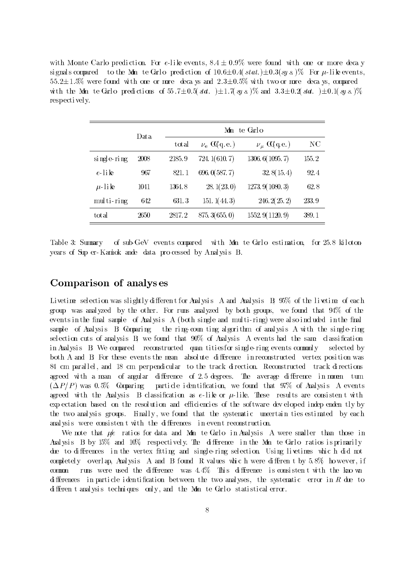with Monte Carlo prediction. For e-like events,  $8.4 \pm 0.9\%$  were found with one or more deca y signals compared to the Mon te Garlo prediction of  $10.6\pm0.4(stat.)\pm0.3(sy s.)$  For  $\mu$ -like events,  $55.2\pm1.5\%$  were found with one or more deca ys and  $2.3\pm0.5\%$  with two or more deca ys, compared with the Mon te Carl o predictions of  $55.7\pm0.5(\text{stat.})\pm1.7(\text{sys.})\%$  and  $3.3\pm0.2(\text{stat.})\pm0.1(\text{sys.})\%$ respecti vel y.

|             | Data. | Monte Garlo |                                   |                     |       |
|-------------|-------|-------------|-----------------------------------|---------------------|-------|
|             |       | total       | $\nu_{\rm e}$ $\alpha_{\rm q.e.}$ | $\nu_{\mu}$ CQq.e.) | NC.   |
| single-ring | 2008  | 2185.9      | 724.1(610.7)                      | 1306.6(1095.7)      | 155.2 |
| $e$ -like   | 967   | 821.1       | 696.0(587.7)                      | 32.8(15.4)          | 92.4  |
| $\mu$ -like | 1041  | 1364.8      | 28.1(23.0)                        | 1273.9(1080.3)      | 62.8  |
| multi-ring  | 642   | 631.3       | 151. $1(44.3)$                    | 246.2(25.2)         | 233.9 |
| total       | 2650  | 2817.2      | 875.3(655.0)                      | 1552.9 (1120.9)     | 389.1 |

Table 3: Summary of sub-GeV events compared with Mon te Carlo estimation, for 25.8 kilotonyears of Sup er-Kamiok ande data pro cessed by Analysis B.

### Comparison of analys es

Livetime selection was slightly different for Analysis A and Analysis B; 95% of the livetime of each group was anal yzed by the other. For runs anal yzed by both groups, we found that 94% of the even ts in the final sample of Analysis A (both single and multi-ring) were also included in the final sample of Analysis B. Comparing the ring-coun ting algorithm of analysis A with the single-ring selection cuts of analysis  $\bf{B}$ , we found that  $90\%$  of Analysis A events had the same classification in Analysis B. We compared reconstructed quan tities for single-ring events commonly selected by both A and B. For these events the mean absolute difference in reconstructed vertex position was 84 cm parallel, and 18 cm perpendicular to the track direction. Reconstructed track directions agreed with a mean of angular difference of  $2.5$  degrees. The average difference in momen tum  $(\Delta P/P)$  was 0.5%. Comparing particle identification, we found that 97% of Analysis A events agreed with the Analysis B classification as e-like or  $\mu$ -like. These results are consistent with exp ectation based on the resolution and efficiencies of the software developed independently by the two analysis groups. Finally, we found that the systematic uncertain ties estimated by each anal ysis were consistent with the differences in event reconstruction.

We note that  $\mu$ e ratios for data and Mon te Carlo in Analysis A were smaller than those in Analysis B by  $15\%$  and  $10\%$  respectively. The difference in the Mon te Carlo ratios is primarily due to differences in the vertex fitting and single-ring selection. Using livetimes which did not completely overlap, Analysis A and B found R values which were different by  $5.8\%$  however, if common runs were used the difference was  $4.4\%$  This difference is consistent with the kno wn differences in particle identification between the two analyses, the systematic error in  $R$  due to different analysis techniques only, and the Mon te Carlo statistical error.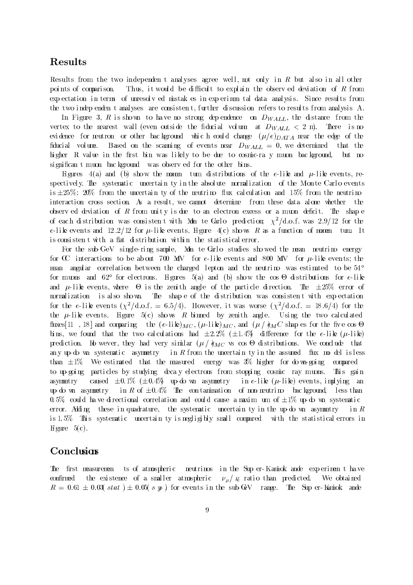## Results

Results from the two independent analyses agree well, not only in R but also in all other points of comparison. Thus, it would be difficult to explain the observed deviation of R from exp ectation in terms of unresolv ed mistak es in exp erimental data analysis. Since results from the two indep enden t analyses are consistent, further discussion refers to results from analysis A.

In Figure 3, R is shown to have no strong dep endence on  $D_{WALL}$ , the distance from the vertex to the nearest wall (even outside the fiducial volume at  $D_{WALL} < 2$  m). There is no evidence for neutron or other bac kground which could change  $(\mu/e)_{DATA}$  near the edge of the fiducial volume. Based on the scanning of events near  $D_{WALL} = 0$ , we determined that the higher R value in the first bin was likely to be due to cosmic-ra y muon background, but no significant muon bac kground was observed for the other bins.

Figures 4(a) and (b) show the momen tum distributions of the e-like and  $\mu$ -like events, respectively. The systematic uncertain ty in the absolute normalization of the Monte Carlo events is  $\pm 25\%$ : 20% from the uncertain ty of the neutrino flux calculation and 15% from the neutrino interaction cross section. As a result, we cannot determine from these data alone whether the observ ed deviation of  $R$  from unity is due to an electron excess or a muon deficit. The shap e of each distribution was consistent with Mon te Carlo prediction;  $\chi^2/\text{d.o.f.}$  was  $2.9/12$  for the e-like events and 12.2/12 for  $\mu$ -like events. Figure 4(c) shows R as a function of momen tum. It is consistent with a flat distribution within the statistical error.

For the sub-GeV single-ring sample, Mon te Carlo studies showed the mean neutrino energy for CC interactions to be about 700 MeV for e-like events and 800 MeV for  $\mu$ -like events; the mean angular correl ation between the charged lepton and the neutrino was estimated to be  $54^{\circ}$ f or muons and 62 f or el ectrons. Fi gures 5(a) and (b) sho w the cos-di stri buti ons f or e-like and in the clear of the senior of the parties in the particle of the second computer  $\mathcal{L} = \mathcal{L} \setminus \mathcal{L}$ normalization is also shown. The shape of the distribution was consistent with expectation for the e-like events  $(\chi^2/\text{d.o.f.} = 6.5/4)$ . However, it was worse  $(\chi^2/\text{d.o.f.} = 18.6/4)$  for the the  $\mu$ -like events. Figure 5(c) shows R binned by zenith angle. Using the two calculated fluxes [11, 18] and comparing the  $(e\text{-}lik)_{MC}$ ,  $(\mu\text{-}lik)_{MC}$ , and  $(\mu / \partial_M C$  shap es for the five cos  $\Theta$ bins, we found that the two calculations had  $\pm 2.2\%$  ( $\pm 1.4\%$ ) difference for the e-like ( $\mu$ -like)  $p_{\text{r}}$  on the west very matrix ( $p_{\text{r}}$  )  $q_{\text{MLO}}$  vs cos-conclusions. We conclude that any up-do wn systematic asymmetry in R from the uncertain ty in the assumed flux model is less than  $\pm 1\%$ . We estimated that the measured energy was 3% higher for do wn-going compared to up-going particles by studying decay electrons from stopping cosmic ray muons. This gain asymmetry caused  $\pm 0.1\%$  ( $\pm 0.4\%$ ) up-do wn asymmetry in e-like ( $\mu$ -like) events, implying an up-do wn asymmetry in R of  $\pm 0.4\%$  The contamination of non-neutrino bac kground, less than 0.5% could have directional correlation and could cause a maximum of  $\pm 1\%$  up-do wn systematic error. Adding these in quadrature, the systematic uncertain ty in the up-do wn asymmetry in R is 1.5%. This systematic uncertain ty is negligibly small compared with the statistical errors in Figure  $5(c)$ .

### Conclusions

The first measuremen ts of atmospheric neutrinos in the Sup er-Kamiok ande experiment have confirmed the existence of a smaller atmospheric  $\nu_{\mu}/\mu$  ratio than predicted. We obtained  $R = 0.61 \pm 0.03(stat) \pm 0.05(s ys)$  for events in the sub-GeV range. The Sup er-Kamiok ander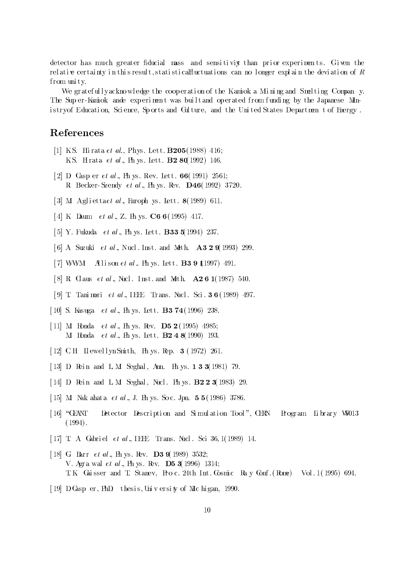detector has much greater fiducial mass and sensitivity than prior experiments. Given the rel ati  $\bf{e}$  certainty in this result, stati sti califluctuations can no longer explain the deviation of  $\bf{R}$ f rom uni ty.

We gratefull yacknowledge the cooperation of the Kamiok a Mining and Smelting Company. The Sup er-Kamiok ande experiment was builtand operated from funding by the Japanese Mini stryof Educati on, Sci ence, Sp orts and Cul ture, and the Uni ted States Departmen t of Energy .

### References

- [1] K.S. Hi rata et al., Phys. Lett.  $\bf{B205}$ (1988) 416; K.S. Hirata et al., Ph ys. Lett. **B2 80**(1992) 146.
- [2] D. Gasp er et al., Ph ys. Rev. Lett.  $66(1991)$  2561; R. Becker- Szendy et al ., Ph ys. Rev. D46(1992) 3720.
- [3] M. Agliettaet al., Europh ys. Lett.  $8(1989)$  611.
- [4] K. Daum et al., Z. Ph ys. C6 6(1995) 417.
- [5] Y. Fukuda *et al* ., Ph ys. Lett. **B33 5**(1994) 237.
- [6] A. Suzuki et al., Nucl. Inst. and Meth.  $\overline{A3299}$ (1993) 299.
- [7] WWM Alison et al. Ph ys. Lett. **B3 9 1**(1997) 491.
- [8] R. G aus et al., Nucl. Inst. and Meth.  $\bf{A261}$ (1987) 540.
- [9] T. Tani mori et al., IEEE Trans. Nucl. Sci.  $36(1989)$  497.
- [ 10] S. Kasuga  $et$  al., Ph ys. Lett. **B3 74**(1996) 238.
- [ 11] M. Honda *et al* ., Ph ys. Rev. **D5 2** (1995) 4985; M Honda *et al* ., Ph ys. Lett.  $B2 4 8(1990) 193$ .
- [ 12] C.H. Llewell yn Smith, Ph ys. Rep. 3 (1972) 261.
- [ 13]  $\overline{D}$  Rein and L.M. Seghal, Ann. Ph ys. **133**(1981) 79.
- [ 14]  $\overline{D}$  Rein and L.M. Seghal, Nucl. Ph ys.  $\overline{B223}$  (1983) 29.
- [ 15] M. Nak ahata et al., J. Ph ys. So c. Jpn.  $55(1986)$  3786.
- [16] "CEANT Detector Description and Simulation Tool", CERN Program Library W5013 (1994).
- [ 17] T. A. Gabriel et al., IEEE Trans. Nucl. Sci 36, 1(1989) 14.
- [ 18] G. Barr *et al* ., Ph ys. Rev. **D3 9**(1989) 3532; V. Agra wal *et al*, Ph ys. Rev. **D5 3**(1996) 1314; T. K. Gai sser and T. Stanev, Pro c. 24th Int. Cosmic Ray Conf. (Rome) Vol. 1 (1995) 694.
- [ 19] D. Casp er, PhD. thesi s, Uni v ersi ty of Mic hi gan, 1990.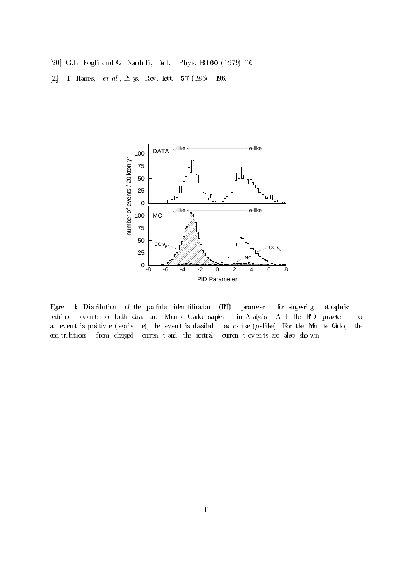- [20] G.L. Fogli and G. Nardulli, Nrl. Phys. **B160** (1979) 116.
- [21] T. Haines, et al., Ph ys. Rev. Lett. <sup>57</sup> (1986) 1986.



Figure 1: Distribution of the particle iden tification (HI) parameter for single-ring atmospheric neutrino ev en ts for both data and Mon te Carlo samples in Analysis A. If the PID parameter of an event is positive (regative), the event is dassifed as  $e$ -like  $(\mu$ -like). For the Mon te Garlo, the con tributions from charged curren tand the neutral curren tev en ts are also sho wn.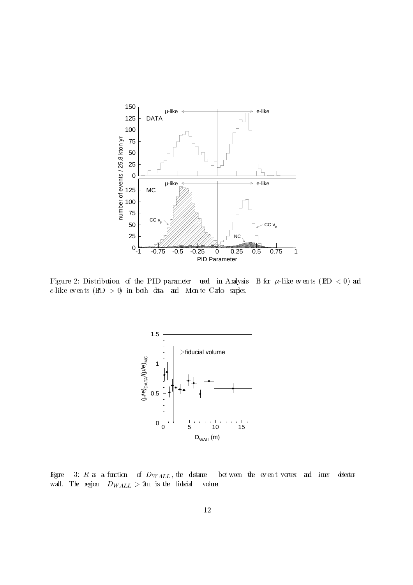

Figure 2: Distribution of the PID parameter used in Analysis B for  $\mu$ -like even ts (HD < 0) and e-like even ts  $(HD > 0)$  in both data and Mon te Carlo samples.



Figure 3: R as a function of  $D_{WALL}$ , the distance bet ween the event vertex and inner detector wall. The region  $D_{WALL} > 2m$  is the fidurial volume.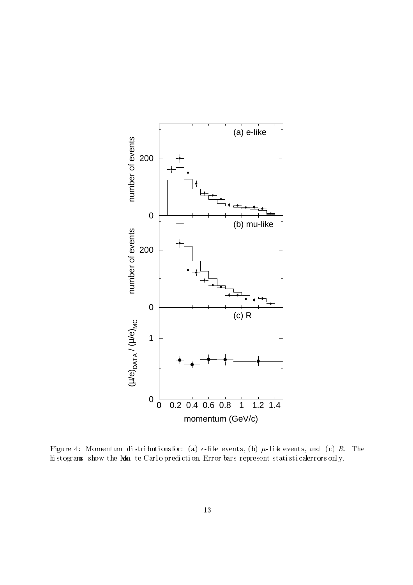

 $\Gamma$ igure 4: Mionnentum dibtii buti ons for: (a) e-li ke events, (b)  $w$ -li ke events, and (c)  $R$ . The  $\Gamma$ hi stograms show the Mon te Carl o prediction. Error bars represent stati sti calerrors only.